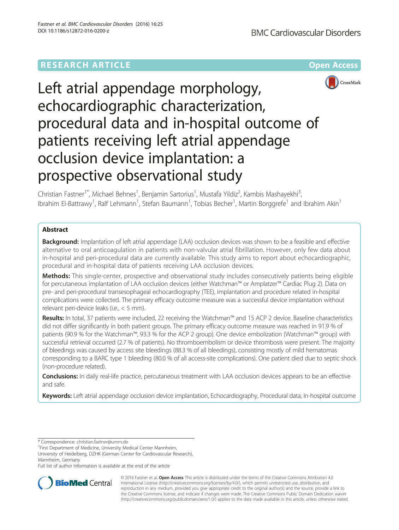## **RESEARCH ARTICLE Example 2014 12:30 The Company Access** (RESEARCH ARTICLE



# Left atrial appendage morphology, echocardiographic characterization, procedural data and in-hospital outcome of patients receiving left atrial appendage occlusion device implantation: a prospective observational study

Christian Fastner<sup>1\*</sup>, Michael Behnes<sup>1</sup>, Benjamin Sartorius<sup>1</sup>, Mustafa Yildiz<sup>2</sup>, Kambis Mashayekhi<sup>3</sup> , Ibrahim El-Battrawy<sup>1</sup>, Ralf Lehmann<sup>1</sup>, Stefan Baumann<sup>1</sup>, Tobias Becher<sup>1</sup>, Martin Borggrefe<sup>1</sup> and Ibrahim Akin<sup>1</sup>

## Abstract

**Background:** Implantation of left atrial appendage (LAA) occlusion devices was shown to be a feasible and effective alternative to oral anticoagulation in patients with non-valvular atrial fibrillation. However, only few data about in-hospital and peri-procedural data are currently available. This study aims to report about echocardiographic, procedural and in-hospital data of patients receiving LAA occlusion devices.

Methods: This single-center, prospective and observational study includes consecutively patients being eligible for percutaneous implantation of LAA occlusion devices (either Watchman™ or Amplatzer™ Cardiac Plug 2). Data on pre- and peri-procedural transesophageal echocardiography (TEE), implantation and procedure related in-hospital complications were collected. The primary efficacy outcome measure was a successful device implantation without relevant peri-device leaks (i.e., < 5 mm).

Results: In total, 37 patients were included, 22 receiving the Watchman™ and 15 ACP 2 device. Baseline characteristics did not differ significantly in both patient groups. The primary efficacy outcome measure was reached in 91.9 % of patients (90.9 % for the Watchman™, 93.3 % for the ACP 2 group). One device embolization (Watchman™ group) with successful retrieval occurred (2.7 % of patients). No thromboembolism or device thrombosis were present. The majority of bleedings was caused by access site bleedings (88.3 % of all bleedings), consisting mostly of mild hematomas corresponding to a BARC type 1 bleeding (80.0 % of all access-site complications). One patient died due to septic shock (non-procedure related).

Conclusions: In daily real-life practice, percutaneous treatment with LAA occlusion devices appears to be an effective and safe.

Keywords: Left atrial appendage occlusion device implantation, Echocardiography, Procedural data, In-hospital outcome

\* Correspondence: [christian.fastner@umm.de](mailto:christian.fastner@umm.de) <sup>1</sup>

<sup>1</sup> First Department of Medicine, University Medical Center Mannheim,

University of Heidelberg, DZHK (German Center for Cardiovascular Research), Mannheim, Germany

Full list of author information is available at the end of the article



© 2016 Fastner et al. Open Access This article is distributed under the terms of the Creative Commons Attribution 4.0 International License [\(http://creativecommons.org/licenses/by/4.0/](http://creativecommons.org/licenses/by/4.0/)), which permits unrestricted use, distribution, and reproduction in any medium, provided you give appropriate credit to the original author(s) and the source, provide a link to the Creative Commons license, and indicate if changes were made. The Creative Commons Public Domain Dedication waiver [\(http://creativecommons.org/publicdomain/zero/1.0/](http://creativecommons.org/publicdomain/zero/1.0/)) applies to the data made available in this article, unless otherwise stated.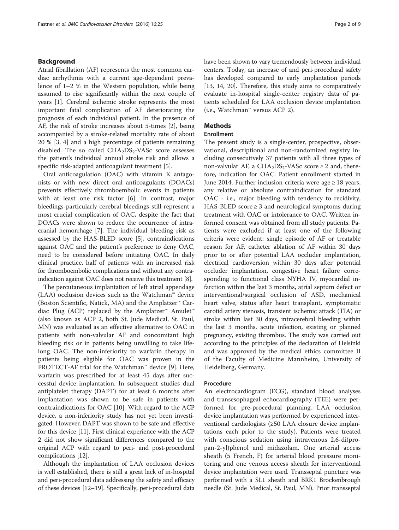#### Background

Atrial fibrillation (AF) represents the most common cardiac arrhythmia with a current age-dependent prevalence of 1–2 % in the Western population, while being assumed to rise significantly within the next couple of years [[1\]](#page-7-0). Cerebral ischemic stroke represents the most important fatal complication of AF deteriorating the prognosis of each individual patient. In the presence of AF, the risk of stroke increases about 5-times [\[2](#page-7-0)], being accompanied by a stroke-related mortality rate of about 20 % [[3, 4](#page-7-0)] and a high percentage of patients remaining disabled. The so called  $CHA<sub>2</sub>DS<sub>2</sub>-VASc$  score assesses the patient's individual annual stroke risk and allows a specific risk-adapted anticoagulant treatment [\[5](#page-7-0)].

Oral anticoagulation (OAC) with vitamin K antagonists or with new direct oral anticoagulants (DOACs) prevents effectively thromboembolic events in patients with at least one risk factor [[6\]](#page-7-0). In contrast, major bleedings-particularly cerebral bleedings-still represent a most crucial complication of OAC, despite the fact that DOACs were shown to reduce the occurrence of intracranial hemorrhage [[7\]](#page-7-0). The individual bleeding risk as assessed by the HAS-BLED score [\[5](#page-7-0)], contraindications against OAC and the patient's preference to deny OAC, need to be considered before initiating OAC. In daily clinical practice, half of patients with an increased risk for thromboembolic complications and without any contraindication against OAC does not receive this treatment [[8\]](#page-7-0).

The percutaneous implantation of left atrial appendage  $(LAA)$  occlusion devices such as the Watchman<sup>™</sup> device (Boston Scientific, Natick, MA) and the Amplatzer™ Cardiac Plug (ACP) replaced by the Amplatzer™ Amulet™ (also known as ACP 2, both St. Jude Medical, St. Paul, MN) was evaluated as an effective alternative to OAC in patients with non-valvular AF and concomitant high bleeding risk or in patients being unwilling to take lifelong OAC. The non-inferiority to warfarin therapy in patients being eligible for OAC was proven in the PROTECT-AF trial for the Watchman™ device [[9\]](#page-7-0). Here, warfarin was prescribed for at least 45 days after successful device implantation. In subsequent studies dual antiplatelet therapy (DAPT) for at least 6 months after implantation was shown to be safe in patients with contraindications for OAC [[10\]](#page-7-0). With regard to the ACP device, a non-inferiority study has not yet been investigated. However, DAPT was shown to be safe and effective for this device [[11](#page-7-0)]. First clinical experience with the ACP 2 did not show significant differences compared to the original ACP with regard to peri- and post-procedural complications [\[12\]](#page-8-0).

Although the implantation of LAA occlusion devices is well established, there is still a great lack of in-hospital and peri-procedural data addressing the safety and efficacy of these devices [\[12](#page-8-0)–[19](#page-8-0)]. Specifically, peri-procedural data have been shown to vary tremendously between individual centers. Today, an increase of and peri-procedural safety has developed compared to early implantation periods [[13](#page-8-0), [14](#page-8-0), [20](#page-8-0)]. Therefore, this study aims to comparatively evaluate in-hospital single-center registry data of patients scheduled for LAA occlusion device implantation (i.e., Watchman™ versus ACP 2).

#### **Methods**

#### Enrollment

The present study is a single-center, prospective, observational, descriptional and non-randomized registry including consecutively 37 patients with all three types of non-valvular AF, a CHA<sub>2</sub>DS<sub>2</sub>-VASc score  $\geq$  2 and, therefore, indication for OAC. Patient enrollment started in June 2014. Further inclusion criteria were age ≥ 18 years, any relative or absolute contraindication for standard OAC - i.e., major bleeding with tendency to recidivity, HAS-BLED score  $\geq$  3 and neurological symptoms during treatment with OAC or intolerance to OAC. Written informed consent was obtained from all study patients. Patients were excluded if at least one of the following criteria were evident: single episode of AF or treatable reason for AF, catheter ablation of AF within 30 days prior to or after potential LAA occluder implantation, electrical cardioversion within 30 days after potential occluder implantation, congestive heart failure corresponding to functional class NYHA IV, myocardial infarction within the last 3 months, atrial septum defect or interventional/surgical occlusion of ASD, mechanical heart valve, status after heart transplant, symptomatic carotid artery stenosis, transient ischemic attack (TIA) or stroke within last 30 days, intracerebral bleeding within the last 3 months, acute infection, existing or planned pregnancy, existing thrombus. The study was carried out according to the principles of the declaration of Helsinki and was approved by the medical ethics committee II of the Faculty of Medicine Mannheim, University of Heidelberg, Germany.

#### Procedure

An electrocardiogram (ECG), standard blood analyses and transesophageal echocardiography (TEE) were performed for pre-procedural planning. LAA occlusion device implantation was performed by experienced interventional cardiologists (≥50 LAA closure device implantations each prior to the study). Patients were treated with conscious sedation using intravenous 2,6-di(propan-2-yl)phenol and midazolam. One arterial access sheath (5 French, F) for arterial blood pressure monitoring and one venous access sheath for interventional device implantation were used. Transseptal puncture was performed with a SL1 sheath and BRK1 Brockenbrough needle (St. Jude Medical, St. Paul, MN). Prior transseptal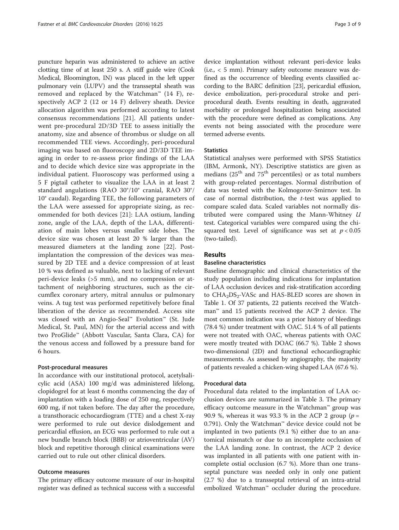puncture heparin was administered to achieve an active clotting time of at least 250 s. A stiff guide wire (Cook Medical, Bloomington, IN) was placed in the left upper pulmonary vein (LUPV) and the transseptal sheath was removed and replaced by the Watchman™ (14 F), respectively ACP 2 (12 or 14 F) delivery sheath. Device allocation algorithm was performed according to latest consensus recommendations [[21\]](#page-8-0). All patients underwent pre-procedural 2D/3D TEE to assess initially the anatomy, size and absence of thrombus or sludge on all recommended TEE views. Accordingly, peri-procedural imaging was based on fluoroscopy and 2D/3D TEE imaging in order to re-assess prior findings of the LAA and to decide which device size was appropriate in the individual patient. Fluoroscopy was performed using a 5 F pigtail catheter to visualize the LAA in at least 2 standard angulations (RAO 30°/10° cranial, RAO 30°/ 10° caudal). Regarding TEE, the following parameters of the LAA were assessed for appropriate sizing, as recommended for both devices [\[21](#page-8-0)]: LAA ostium, landing zone, angle of the LAA, depth of the LAA, differentiation of main lobes versus smaller side lobes. The device size was chosen at least 20 % larger than the measured diameters at the landing zone [[22\]](#page-8-0). Postimplantation the compression of the devices was measured by 2D TEE and a device compression of at least 10 % was defined as valuable, next to lacking of relevant peri-device leaks (>5 mm), and no compression or attachment of neighboring structures, such as the circumflex coronary artery, mitral annulus or pulmonary veins. A tug test was performed repetitively before final liberation of the device as recommended. Access site was closed with an Angio-Seal™ Evolution™ (St. Jude Medical, St. Paul, MN) for the arterial access and with two ProGlide™ (Abbott Vascular, Santa Clara, CA) for the venous access and followed by a pressure band for 6 hours.

#### Post-procedural measures

In accordance with our institutional protocol, acetylsalicylic acid (ASA) 100 mg/d was administered lifelong, clopidogrel for at least 6 months commencing the day of implantation with a loading dose of 250 mg, respectively 600 mg, if not taken before. The day after the procedure, a transthoracic echocardiogram (TTE) and a chest X-ray were performed to rule out device dislodgement and pericardial effusion, an ECG was performed to rule out a new bundle branch block (BBB) or atrioventricular (AV) block and repetitive thorough clinical examinations were carried out to rule out other clinical disorders.

#### Outcome measures

The primary efficacy outcome measure of our in-hospital register was defined as technical success with a successful device implantation without relevant peri-device leaks (i.e., < 5 mm). Primary safety outcome measure was defined as the occurrence of bleeding events classified according to the BARC definition [[23](#page-8-0)], pericardial effusion, device embolization, peri-procedural stroke and periprocedural death. Events resulting in death, aggravated morbidity or prolonged hospitalization being associated with the procedure were defined as complications. Any events not being associated with the procedure were termed adverse events.

#### **Statistics**

Statistical analyses were performed with SPSS Statistics (IBM, Armonk, NY). Descriptive statistics are given as medians  $(25<sup>th</sup>$  and  $75<sup>th</sup>$  percentiles) or as total numbers with group-related percentages. Normal distribution of data was tested with the Kolmogorov-Smirnov test. In case of normal distribution, the t-test was applied to compare scaled data. Scaled variables not normally distributed were compared using the Mann-Whitney U test. Categorical variables were compared using the chisquared test. Level of significance was set at  $p < 0.05$ (two-tailed).

#### Results

#### Baseline characteristics

Baseline demographic and clinical characteristics of the study population including indications for implantation of LAA occlusion devices and risk-stratification according to  $CHA<sub>2</sub>DS<sub>2</sub> - VASC and HAS-BLED scores are shown in$ Table [1](#page-3-0). Of 37 patients, 22 patients received the Watchman™ and 15 patients received the ACP 2 device. The most common indication was a prior history of bleedings (78.4 %) under treatment with OAC. 51.4 % of all patients were not treated with OAC, whereas patients with OAC were mostly treated with DOAC (66.7 %). Table [2](#page-4-0) shows two-dimensional (2D) and functional echocardiographic measurements. As assessed by angiography, the majority of patients revealed a chicken-wing shaped LAA (67.6 %).

#### Procedural data

Procedural data related to the implantation of LAA occlusion devices are summarized in Table [3](#page-5-0). The primary efficacy outcome measure in the Watchman™ group was 90.9 %, whereas it was 93.3 % in the ACP 2 group ( $p =$ 0.791). Only the Watchman™ device device could not be implanted in two patients (9.1 %) either due to an anatomical mismatch or due to an incomplete occlusion of the LAA landing zone. In contrast, the ACP 2 device was implanted in all patients with one patient with incomplete ostial occlusion (6.7 %). More than one transseptal puncture was needed only in only one patient (2.7 %) due to a transseptal retrieval of an intra-atrial embolized Watchman™ occluder during the procedure.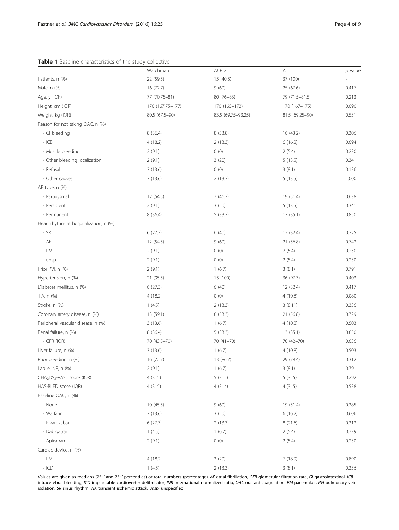<span id="page-3-0"></span>Table 1 Baseline characteristics of the study collective

|                                                    | Watchman         | ACP <sub>2</sub>   | All             | $p$ Value |
|----------------------------------------------------|------------------|--------------------|-----------------|-----------|
| Patients, n (%)                                    | 22 (59.5)        | 15 (40.5)          | 37 (100)        |           |
| Male, n (%)                                        | 16 (72.7)        | 9(60)              | 25 (67.6)       | 0.417     |
| Age, y (IQR)                                       | 77 (70.75-81)    | $80(76 - 83)$      | 79 (71.5-81.5)  | 0.213     |
| Height, cm (IQR)                                   | 170 (167.75-177) | 170 (165-172)      | 170 (167-175)   | 0.090     |
| Weight, kg (IQR)                                   | 80.5 (67.5-90)   | 83.5 (69.75-93.25) | 81.5 (69.25-90) | 0.531     |
| Reason for not taking OAC, n (%)                   |                  |                    |                 |           |
| - GI bleeding                                      | 8 (36.4)         | 8 (53.8)           | 16 (43.2)       | 0.306     |
| $-$ ICB                                            | 4(18.2)          | 2(13.3)            | 6(16.2)         | 0.694     |
| - Muscle bleeding                                  | 2(9.1)           | 0(0)               | 2(5.4)          | 0.230     |
| - Other bleeding localization                      | 2(9.1)           | 3(20)              | 5(13.5)         | 0.341     |
| - Refusal                                          | 3(13.6)          | 0(0)               | 3(8.1)          | 0.136     |
| - Other causes                                     | 3(13.6)          | 2(13.3)            | 5(13.5)         | 1.000     |
| AF type, n (%)                                     |                  |                    |                 |           |
| - Paroxysmal                                       | 12 (54.5)        | 7(46.7)            | 19 (51.4)       | 0.638     |
| - Persistent                                       | 2(9.1)           | 3(20)              | 5(13.5)         | 0.341     |
| - Permanent                                        | 8 (36.4)         | 5(33.3)            | 13 (35.1)       | 0.850     |
| Heart rhythm at hospitalization, n (%)             |                  |                    |                 |           |
| $-$ SR                                             | 6(27.3)          | 6(40)              | 12 (32.4)       | 0.225     |
| $- AF$                                             | 12 (54.5)        | 9(60)              | 21 (56.8)       | 0.742     |
| $- PM$                                             | 2(9.1)           | 0(0)               | 2(5.4)          | 0.230     |
| - unsp.                                            | 2(9.1)           | 0(0)               | 2(5.4)          | 0.230     |
| Prior PVI, n (%)                                   | 2(9.1)           | 1(6.7)             | 3(8.1)          | 0.791     |
| Hypertension, n (%)                                | 21 (95.5)        | 15 (100)           | 36 (97.3)       | 0.403     |
| Diabetes mellitus, n (%)                           | 6(27.3)          | 6(40)              | 12 (32.4)       | 0.417     |
| TIA, n (%)                                         | 4(18.2)          | 0(0)               | 4(10.8)         | 0.080     |
| Stroke, n (%)                                      | 1(4.5)           | 2(13.3)            | 3(8.11)         | 0.336     |
| Coronary artery disease, n (%)                     | 13 (59.1)        | 8(53.3)            | 21 (56.8)       | 0.729     |
| Peripheral vascular disease, n (%)                 | 3(13.6)          | 1(6.7)             | 4(10.8)         | 0.503     |
| Renal failure, n (%)                               | 8(36.4)          | 5(33.3)            | 13 (35.1)       | 0.850     |
| $-$ GFR (IQR)                                      | 70 (43.5-70)     | 70 (41-70)         | 70 (42-70)      | 0.636     |
| Liver failure, n (%)                               | 3(13.6)          | 1(6.7)             | 4(10.8)         | 0.503     |
| Prior bleeding, n (%)                              | 16 (72.7)        | 13 (86.7)          | 29 (78.4)       | 0.312     |
| Labile INR, n (%)                                  | 2(9.1)           | 1(6.7)             | 3(8.1)          | 0.791     |
| CHA <sub>2</sub> DS <sub>2</sub> -VASc score (IQR) | $4(3-5)$         | $5(3-5)$           | $5(3-5)$        | 0.292     |
| HAS-BLED score (IQR)                               | $4(3-5)$         | $4(3-4)$           | $4(3-5)$        | 0.538     |
| Baseline OAC, n (%)                                |                  |                    |                 |           |
| - None                                             | 10(45.5)         | 9(60)              | 19 (51.4)       | 0.385     |
| - Warfarin                                         | 3(13.6)          | 3(20)              | 6(16.2)         | 0.606     |
| - Rivaroxaban                                      | 6(27.3)          | 2(13.3)            | 8(21.6)         | 0.312     |
| - Dabigatran                                       | 1(4.5)           | 1(6.7)             | 2(5.4)          | 0.779     |
| - Apixaban                                         | 2(9.1)           | 0(0)               | 2(5.4)          | 0.230     |
| Cardiac device, n (%)                              |                  |                    |                 |           |
| $- PM$                                             | 4(18.2)          | 3(20)              | 7 (18.9)        | 0.890     |
| $-$ ICD                                            | 1(4.5)           | 2(13.3)            | 3(8.1)          | 0.336     |

Values are given as medians (25<sup>th</sup> and 75<sup>th</sup> percentiles) or total numbers (percentage). AF atrial fibrillation, GFR glomerular filtration rate, GI gastrointestinal, ICE intracerebral bleeding, ICD implantable cardioverter defibrillator, INR international normalized ratio, OAC oral anticoagulation, PM pacemaker, PVI pulmonary vein isolation, SR sinus rhythm, TIA transient ischemic attack, unsp. unspecified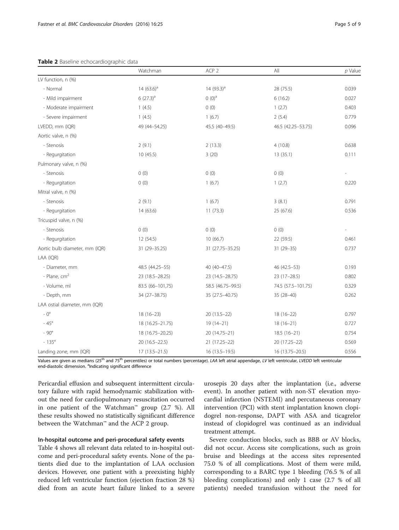#### <span id="page-4-0"></span>Table 2 Baseline echocardiographic data

|                                | Watchman                 | ACP <sub>2</sub>  | All                | $p$ Value |
|--------------------------------|--------------------------|-------------------|--------------------|-----------|
| LV function, n (%)             |                          |                   |                    |           |
| - Normal                       | 14 $(63.6)$ <sup>a</sup> | 14 $(93.3)^a$     | 28 (75.5)          | 0.039     |
| - Mild impairment              | $6(27.3)^a$              | $(0)(0)^a$        | 6(16.2)            | 0.027     |
| - Moderate impairment          | 1(4.5)                   | 0(0)              | 1(2.7)             | 0.403     |
| - Severe impairment            | 1(4.5)                   | 1(6.7)            | 2(5.4)             | 0.779     |
| LVEDD, mm (IQR)                | 49 (44-54.25)            | 45.5 (40-49.5)    | 46.5 (42.25-53.75) | 0.096     |
| Aortic valve, n (%)            |                          |                   |                    |           |
| - Stenosis                     | 2(9.1)                   | 2(13.3)           | 4(10.8)            | 0.638     |
| - Regurgitation                | 10(45.5)                 | 3(20)             | 13(35.1)           | 0.111     |
| Pulmonary valve, n (%)         |                          |                   |                    |           |
| - Stenosis                     | 0(0)                     | 0(0)              | 0(0)               |           |
| - Regurgitation                | 0(0)                     | 1(6.7)            | 1(2.7)             | 0.220     |
| Mitral valve, n (%)            |                          |                   |                    |           |
| - Stenosis                     | 2(9.1)                   | 1(6.7)            | 3(8.1)             | 0.791     |
| - Regurgitation                | 14(63.6)                 | 11(73.3)          | 25 (67.6)          | 0.536     |
| Tricuspid valve, n (%)         |                          |                   |                    |           |
| - Stenosis                     | 0(0)                     | 0(0)              | 0(0)               |           |
| - Regurgitation                | 12 (54.5)                | 10(66.7)          | 22 (59.5)          | 0.461     |
| Aortic bulb diameter, mm (IQR) | 31 (29-35.25)            | 31 (27.75-35.25)  | $31(29 - 35)$      | 0.737     |
| LAA (IQR)                      |                          |                   |                    |           |
| - Diameter, mm                 | 48.5 (44.25-55)          | 40 (40-47.5)      | 46 (42.5-53)       | 0.193     |
| - Plane, $cm2$                 | 23 (18.5-28.25)          | 23 (14.5-28.75)   | $23(17-28.5)$      | 0.802     |
| - Volume, ml                   | 83.5 (66-101,75)         | 58.5 (46.75-99.5) | 74.5 (57.5-101.75) | 0.329     |
| - Depth, mm                    | 34 (27-38.75)            | 35 (27.5-40.75)   | $35(28-40)$        | 0.262     |
| LAA ostial diameter, mm (IQR)  |                          |                   |                    |           |
| $-0^{\circ}$                   | $18(16-23)$              | $20(13.5-22)$     | $18(16-22)$        | 0.797     |
| $-45^\circ$                    | 18 (16.25 - 21.75)       | $19(14-21)$       | $18(16-21)$        | 0.727     |
| $-90^\circ$                    | 18 (16.75-20.25)         | 20 (14.75-21)     | $18.5(16-21)$      | 0.754     |
| $-135^{\circ}$                 | 20 (16.5-22.5)           | 21 (17.25-22)     | 20 (17.25-22)      | 0.569     |
| Landing zone, mm (IQR)         | $17(13.5 - 21.5)$        | $16(13.5 - 19.5)$ | 16 (13.75 - 20.5)  | 0.556     |

Values are given as medians (25<sup>th</sup> and 75<sup>th</sup> percentiles) or total numbers (percentage). LAA left atrial appendage, LV left ventricular, LVEDD left ventricular end-diastolic dimension. <sup>a</sup>Indicating significant difference

Pericardial effusion and subsequent intermittent circulatory failure with rapid hemodynamic stabilization without the need for cardiopulmonary resuscitation occurred in one patient of the Watchman™ group (2.7 %). All these results showed no statistically significant difference between the Watchman™ and the ACP 2 group.

#### In-hospital outcome and peri-procedural safety events

Table [4](#page-6-0) shows all relevant data related to in-hospital outcome and peri-procedural safety events. None of the patients died due to the implantation of LAA occlusion devices. However, one patient with a preexisting highly reduced left ventricular function (ejection fraction 28 %) died from an acute heart failure linked to a severe urosepis 20 days after the implantation (i.e., adverse event). In another patient with non-ST elevation myocardial infarction (NSTEMI) and percutaneous coronary intervention (PCI) with stent implantation known clopidogrel non-response, DAPT with ASA and ticagrelor instead of clopidogrel was continued as an individual treatment attempt.

Severe conduction blocks, such as BBB or AV blocks, did not occur. Access site complications, such as groin bruise and bleedings at the access sites represented 75.0 % of all complications. Most of them were mild, corresponding to a BARC type 1 bleeding (76.5 % of all bleeding complications) and only 1 case (2.7 % of all patients) needed transfusion without the need for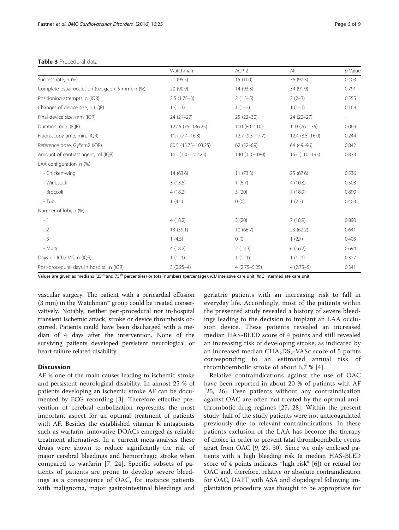#### <span id="page-5-0"></span>Table 3 Procedural data

|                                                       | Watchman            | ACP <sub>2</sub>   | All              | p Value |
|-------------------------------------------------------|---------------------|--------------------|------------------|---------|
| Success rate, n (%)                                   | 21 (95.5)           | 15 (100)           | 36 (97.3)        | 0.403   |
| Complete ostial occlusion (i.e., gap < 5 mm), $n$ (%) | 20 (90.9)           | 14 (93.3)          | 34 (91.9)        | 0.791   |
| Positioning attempts, n (IQR)                         | $2.5(1.75-3)$       | $2(1.5-5)$         | $2(2-3)$         | 0.555   |
| Changes of device size, n (IQR)                       | $1(1-1)$            | $1(1-2)$           | $1(1-1)$         | 0.169   |
| Final device size, mm (IQR)                           | $24(21-27)$         | $25(22-30)$        | $24(22-27)$      |         |
| Duration, min. (IQR)                                  | 122.5 (75-136.25)   | $100(80-110)$      | $110(76 - 135)$  | 0.069   |
| Fluoroscopy time, min. (IQR)                          | $11.7(7.4 - 16.8)$  | $12.7(9.5 - 17.7)$ | $12.4(8.5-16.9)$ | 0.244   |
| Reference dose, Gy*cm2 (IQR)                          | 80.5 (45.75-103.25) | $62(52-89)$        | 64 (49-96)       | 0.842   |
| Amount of contrast agent, ml (IQR)                    | 165 (130-202.25)    | 140 (110-180)      | 157 (110-195)    | 0.833   |
| LAA configuration, n (%)                              |                     |                    |                  |         |
| - Chicken-wing                                        | 14(63.6)            | 11(73.3)           | 25 (67.6)        | 0.536   |
| - Windsock                                            | 3(13.6)             | 1(6.7)             | 4(10.8)          | 0.503   |
| - Broccoli                                            | 4(18.2)             | 3(20)              | 7(18.9)          | 0.890   |
| - Tub                                                 | 1(4.5)              | 0(0)               | 1(2.7)           | 0.403   |
| Number of lobi, n (%)                                 |                     |                    |                  |         |
| $-1$                                                  | 4(18.2)             | 3(20)              | 7(18.9)          | 0.890   |
| $-2$                                                  | 13 (59.1)           | 10(66.7)           | 23(62.2)         | 0.641   |
| $-3$                                                  | 1(4.5)              | 0(0)               | 1(2.7)           | 0.403   |
| - Multi                                               | 4(18.2)             | 2(13.3)            | 6(16.2)          | 0.694   |
| Days on ICU/IMC, n (IQR)                              | $1(1-1)$            | $1(1-1)$           | $1(1-1)$         | 0.327   |
| Post-procedural days in hospital, n (IQR)             | $3(2.25-4)$         | $4(2.75 - 5.25)$   | $4(2.75-5)$      | 0.341   |

Values are given as medians (25<sup>th</sup> and 75<sup>th</sup> percentiles) or total numbers (percentage). ICU intensive care unit, IMC intermediate care unit

vascular surgery. The patient with a pericardial effusion (3 mm) in the Watchman™ group could be treated conservatively. Notably, neither peri-procedural nor in-hospital transient ischemic attack, stroke or device thrombosis occurred. Patients could have been discharged with a median of 4 days after the intervention. None of the surviving patients developed persistent neurological or heart-failure related disability.

#### **Discussion**

AF is one of the main causes leading to ischemic stroke and persistent neurological disability. In almost 25 % of patients developing an ischemic stroke AF can be documented by ECG recording [\[3](#page-7-0)]. Therefore effective prevention of cerebral embolization represents the most important aspect for an optimal treatment of patients with AF. Besides the established vitamin K antagonists such as warfarin, innovative DOACs emerged as reliable treatment alternatives. In a current meta-analysis these drugs were shown to reduce significantly the risk of major cerebral bleedings and hemorrhagic stroke when compared to warfarin [\[7,](#page-7-0) [24](#page-8-0)]. Specific subsets of patients of patients are prone to develop severe bleedings as a consequence of OAC, for instance patients with malignoma, major gastrointestinal bleedings and geriatric patients with an increasing risk to fall in everyday life. Accordingly, most of the patients within the presented study revealed a history of severe bleedings leading to the decision to implant an LAA occlusion device. These patients revealed an increased median HAS-BLED score of 4 points and still revealed an increasing risk of developing stroke, as indicated by an increased median  $CHA<sub>2</sub>DS<sub>2</sub>$ -VASc score of 5 points corresponding to an estimated annual risk of thromboembolic stroke of about 6.7 % [[4\]](#page-7-0).

Relative contraindications against the use of OAC have been reported in about 20 % of patients with AF [[25, 26](#page-8-0)]. Even patients without any contraindication against OAC are often not treated by the optimal antithrombotic drug regimes [[27, 28](#page-8-0)]. Within the present study, half of the study patients were not anticoagulated previously due to relevant contraindications. In these patients exclusion of the LAA has become the therapy of choice in order to prevent fatal thromboembolic events apart from OAC [\[9](#page-7-0), [29, 30\]](#page-8-0). Since we only enclosed patients with a high bleeding risk (a median HAS-BLED score of 4 points indicates "high risk" [[6\]](#page-7-0)) or refusal for OAC and, therefore, relative or absolute contraindication for OAC, DAPT with ASA and clopidogrel following implantation procedure was thought to be appropriate for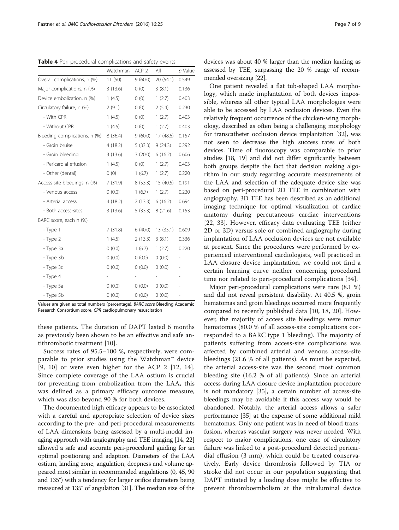<span id="page-6-0"></span>Table 4 Peri-procedural complications and safety events

|                               | Watchman | ACP <sub>2</sub> | All       | p Value |
|-------------------------------|----------|------------------|-----------|---------|
| Overall complications, n (%)  | 11(50)   | 9(60.0)          | 20 (54.1) | 0.549   |
| Major complications, n (%)    | 3(13.6)  | 0(0)             | 3(8.1)    | 0.136   |
| Device embolization, n (%)    | 1(4.5)   | 0(0)             | 1(2.7)    | 0.403   |
| Circulatory failure, n (%)    | 2(9.1)   | 0(0)             | 2(5.4)    | 0.230   |
| - With CPR                    | 1(4.5)   | 0(0)             | 1(2.7)    | 0.403   |
| - Without CPR                 | 1(4.5)   | 0(0)             | 1(2.7)    | 0.403   |
| Bleeding complications, n (%) | 8(36.4)  | 9(60.0)          | 17(48.6)  | 0.157   |
| - Groin bruise                | 4(18.2)  | 5(33.3)          | 9(24.3)   | 0.292   |
| - Groin bleeding              | 3(13.6)  | 3(20.0)          | 6(16.2)   | 0.606   |
| - Pericardial effusion        | 1(4.5)   | 0(0)             | 1(2.7)    | 0.403   |
| - Other (dental)              | 0(0)     | 1(6.7)           | 1(2.7)    | 0.220   |
| Access-site bleedings, n (%)  | 7(31.9)  | 8(53.3)          | 15(40.5)  | 0.191   |
| - Venous access               | 0(0.0)   | 1(6.7)           | 1(2.7)    | 0.220   |
| - Arterial access             | 4(18.2)  | 2(13.3)          | 6(16.2)   | 0.694   |
| - Both access-sites           | 3(13.6)  | 5(33.3)          | 8(21.6)   | 0.153   |
| BARC score, each n (%)        |          |                  |           |         |
| - Type 1                      | 7(31.8)  | 6(40.0)          | 13(35.1)  | 0.609   |
| - Type 2                      | 1(4.5)   | 2(13.3)          | 3(8.1)    | 0.336   |
| - Type 3a                     | 0(0.0)   | 1(6.7)           | 1(2.7)    | 0.220   |
| - Type 3b                     | (0.0)    | (0.0)            | 0(0.0)    |         |
| - Type 3c                     | 0(0.0)   | 0(0.0)           | 0(0.0)    |         |
| - Type 4                      |          |                  |           |         |
| - Type 5a                     | 0(0.0)   | 0(0.0)           | 0(0.0)    |         |
| - Type 5b                     | 0(0.0)   | 0(0.0)           | 0(0.0)    |         |

Values are given as total numbers (percentage). BARC score Bleeding Academic Research Consortium score, CPR cardiopulmonary resuscitation

these patients. The duration of DAPT lasted 6 months as previously been shown to be an effective and safe antithrombotic treatment [\[10](#page-7-0)].

Success rates of 95.5–100 %, respectively, were comparable to prior studies using the Watchman™ device [[9, 10](#page-7-0)] or were even higher for the ACP 2 [[12, 14](#page-8-0)]. Since complete coverage of the LAA ostium is crucial for preventing from embolization from the LAA, this was defined as a primary efficacy outcome measure, which was also beyond 90 % for both devices.

The documented high efficacy appears to be associated with a careful and appropriate selection of device sizes according to the pre- and peri-procedural measurements of LAA dimensions being assessed by a multi-modal imaging approach with angiography and TEE imaging [[14](#page-8-0), [22](#page-8-0)] allowed a safe and accurate peri-procedural guiding for an optimal positioning and adaption. Diameters of the LAA ostium, landing zone, angulation, deepness and volume appeared most similar in recommended angulations (0, 45, 90 and 135°) with a tendency for larger orifice diameters being measured at 135° of angulation [[31](#page-8-0)]. The median size of the devices was about 40 % larger than the median landing as assessed by TEE, surpassing the 20 % range of recommended oversizing [[22](#page-8-0)].

One patient revealed a flat tub-shaped LAA morphology, which made implantation of both devices impossible, whereas all other typical LAA morphologies were able to be accessed by LAA occlusion devices. Even the relatively frequent occurrence of the chicken-wing morphology, described as often being a challenging morphology for transcatheter occlusion device implantation [[32\]](#page-8-0), was not seen to decrease the high success rates of both devices. Time of fluoroscopy was comparable to prior studies [[18, 19\]](#page-8-0) and did not differ significantly between both groups despite the fact that decision making algorithm in our study regarding accurate measurements of the LAA and selection of the adequate device size was based on peri-procedural 2D TEE in combination with angiography. 3D TEE has been described as an additional imaging technique for optimal visualization of cardiac anatomy during percutaneous cardiac interventions [[22, 33](#page-8-0)]. However, efficacy data evaluating TEE (either 2D or 3D) versus sole or combined angiography during implantation of LAA occlusion devices are not available at present. Since the procedures were performed by experienced interventional cardiologists, well practiced in LAA closure device implantation, we could not find a certain learning curve neither concerning procedural time nor related to peri-procedural complications [[34\]](#page-8-0).

Major peri-procedural complications were rare (8.1 %) and did not reveal persistent disability. At 40.5 %, groin hematomas and groin bleedings occurred more frequently compared to recently published data [\[10](#page-7-0), [18, 20](#page-8-0)]. However, the majority of access site bleedings were minor hematomas (80.0 % of all access-site complications corresponded to a BARC type 1 bleeding). The majority of patients suffering from access-site complications was affected by combined arterial and venous access-site bleedings (21.6 % of all patients). As must be expected, the arterial access-site was the second most common bleeding site (16.2 % of all patients). Since an arterial access during LAA closure device implantation procedure is not mandatory [[35](#page-8-0)], a certain number of access-site bleedings may be avoidable if this access way would be abandoned. Notably, the arterial access allows a safer performance [\[35\]](#page-8-0) at the expense of some additional mild hematomas. Only one patient was in need of blood transfusion, whereas vascular surgery was never needed. With respect to major complications, one case of circulatory failure was linked to a post-procedural detected pericardial effusion (3 mm), which could be treated conservatively. Early device thrombosis followed by TIA or stroke did not occur in our population suggesting that DAPT initiated by a loading dose might be effective to prevent thromboembolism at the intraluminal device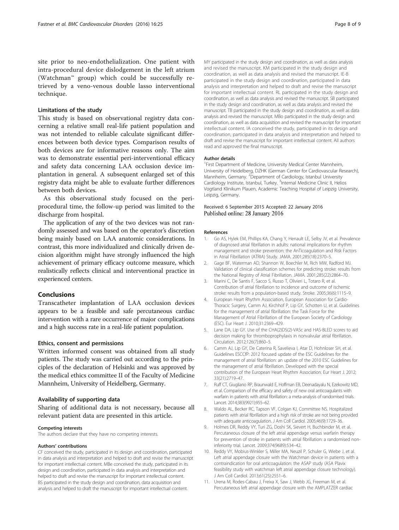<span id="page-7-0"></span>site prior to neo-endothelialization. One patient with intra-procedural device dislodgement in the left atrium (Watchman™ group) which could be successfully retrieved by a veno-venous double lasso interventional technique.

#### Limitations of the study

This study is based on observational registry data concerning a relative small real-life patient population and was not intended to reliable calculate significant differences between both device types. Comparison results of both devices are for informative reasons only. The aim was to demonstrate essential peri-interventional efficacy and safety data concerning LAA occlusion device implantation in general. A subsequent enlarged set of this registry data might be able to evaluate further differences between both devices.

As this observational study focused on the periprocedural time, the follow-up period was limited to the discharge from hospital.

The application of any of the two devices was not randomly assessed and was based on the operator's discretion being mainly based on LAA anatomic considerations. In contrast, this more individualized and clinically driven decision algorithm might have strongly influenced the high achievement of primary efficacy outcome measure, which realistically reflects clinical and interventional practice in experienced centers.

#### Conclusions

Transcatheter implantation of LAA occlusion devices appears to be a feasible and safe percutaneous cardiac intervention with a rare occurrence of major complications and a high success rate in a real-life patient population.

#### Ethics, consent and permissions

Written informed consent was obtained from all study patients. The study was carried out according to the principles of the declaration of Helsinki and was approved by the medical ethics committee II of the Faculty of Medicine Mannheim, University of Heidelberg, Germany.

#### Availability of supporting data

Sharing of additional data is not necessary, because all relevant patient data are presented in this article.

#### Competing interests

The authors declare that they have no competing interests.

#### Authors' contributions

CF conceived the study, participated in its design and coordination, participated in data analysis and interpretation and helped to draft and revise the manuscript for important intellectual content. MBe conceived the study, participated in its design and coordination, participated in data analysis and interpretation and helped to draft and revise the manuscript for important intellectual content. BS participated in the study design and coordination, data acquisition and analysis and helped to draft the manuscript for important intellectual content.

MY participated in the study design and coordination, as well as data analysis and revised the manuscript. KM participated in the study design and coordination, as well as data analysis and revised the manuscript. IE-B participated in the study design and coordination, participated in data analysis and interpretation and helped to draft and revise the manuscript for important intellectual content. RL participated in the study design and coordination, as well as data analysis and revised the manuscript. SB participated in the study design and coordination, as well as data analysis and revised the manuscript. TB participated in the study design and coordination, as well as data analysis and revised the manuscript. MBo participated in the study design and coordination, as well as data acquisition and revised the manuscript for important intellectual content. IA conceived the study, participated in its design and coordination, participated in data analysis and interpretation and helped to draft and revise the manuscript for important intellectual content. All authors read and approved the final manuscript.

#### Author details

<sup>1</sup> First Department of Medicine, University Medical Center Mannheim, University of Heidelberg, DZHK (German Center for Cardiovascular Research), Mannheim, Germany. <sup>2</sup>Department of Cardiology, Istanbul University Cardiology Institute, Istanbul, Turkey. <sup>3</sup>Internal Medicine Clinic II, Helios Vogtland Klinikum Plauen, Academic Teaching Hospital of Leipzig University, Leipzig, Germany.

#### Received: 6 September 2015 Accepted: 22 January 2016 Published online: 28 January 2016

#### References

- 1. Go AS, Hylek EM, Phillips KA, Chang Y, Henault LE, Selby JV, et al. Prevalence of diagnosed atrial fibrillation in adults: national implications for rhythm management and stroke prevention: the AnTicoagulation and Risk Factors in Atrial Fibrillation (ATRIA) Study. JAMA. 2001;285(18):2370–5.
- 2. Gage BF, Waterman AD, Shannon W, Boechler M, Rich MW, Radford MJ. Validation of clinical classification schemes for predicting stroke: results from the National Registry of Atrial Fibrillation. JAMA. 2001;285(22):2864–70.
- 3. Marini C, De Santis F, Sacco S, Russo T, Olivieri L, Totaro R, et al. Contribution of atrial fibrillation to incidence and outcome of ischemic stroke: results from a population-based study. Stroke. 2005;36(6):1115–9.
- 4. European Heart Rhythm Association, European Association for Cardio-Thoracic Surgery, Camm AJ, Kirchhof P, Lip GY, Schotten U, et al. Guidelines for the management of atrial fibrillation: the Task Force for the Management of Atrial Fibrillation of the European Society of Cardiology (ESC). Eur Heart J. 2010;31:2369–429.
- 5. Lane DA, Lip GY. Use of the CHA(2)DS(2)-VASc and HAS-BLED scores to aid decision making for thromboprophylaxis in nonvalvular atrial fibrillation. Circulation. 2012;126(7):860–5.
- 6. Camm AJ, Lip GY, De Caterina R, Savelieva I, Atar D, Hohnloser SH, et al. Guidelines ESCCfP: 2012 focused update of the ESC Guidelines for the management of atrial fibrillation: an update of the 2010 ESC Guidelines for the management of atrial fibrillation. Developed with the special contribution of the European Heart Rhythm Association. Eur Heart J. 2012; 33(21):2719–47.
- 7. Ruff CT, Giugliano RP, Braunwald E, Hoffman EB, Deenadayalu N, Ezekowitz MD, et al. Comparison of the efficacy and safety of new oral anticoagulants with warfarin in patients with atrial fibrillation: a meta-analysis of randomised trials. Lancet. 2014;383(9921):955–62.
- 8. Waldo AL, Becker RC, Tapson VF, Colgan KJ, Committee NS. Hospitalized patients with atrial fibrillation and a high risk of stroke are not being provided with adequate anticoagulation. J Am Coll Cardiol. 2005;46(9):1729–36.
- 9. Holmes DR, Reddy VY, Turi ZG, Doshi SK, Sievert H, Buchbinder M, et al. Percutaneous closure of the left atrial appendage versus warfarin therapy for prevention of stroke in patients with atrial fibrillation: a randomised noninferiority trial. Lancet. 2009;374(9689):534–42.
- 10. Reddy VY, Mobius-Winkler S, Miller MA, Neuzil P, Schuler G, Wiebe J, et al. Left atrial appendage closure with the Watchman device in patients with a contraindication for oral anticoagulation: the ASAP study (ASA Plavix feasibility study with watchman left atrial appendage closure technology). J Am Coll Cardiol. 2013;61(25):2551–6.
- 11. Urena M, Rodes-Cabau J, Freixa X, Saw J, Webb JG, Freeman M, et al. Percutaneous left atrial appendage closure with the AMPLATZER cardiac